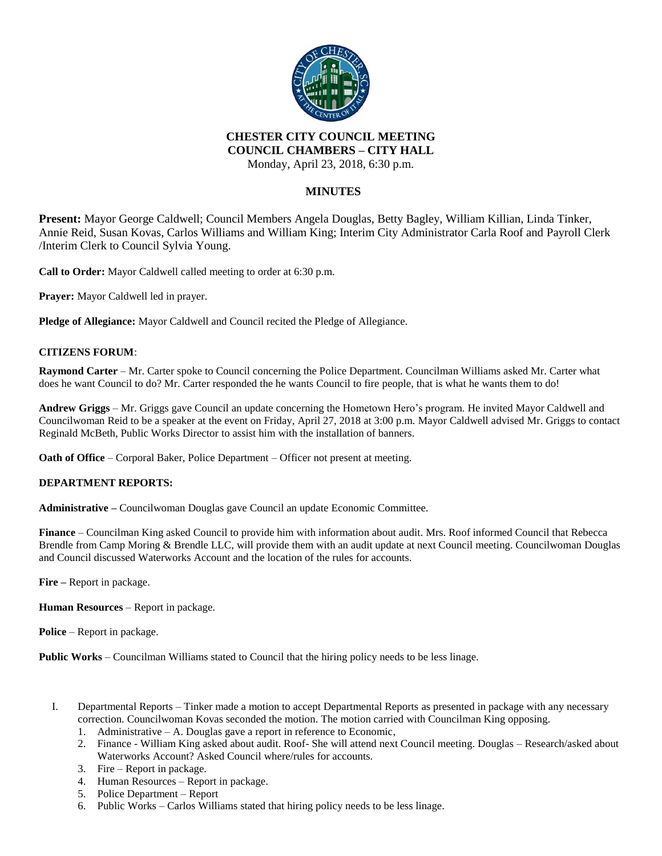

#### **CHESTER CITY COUNCIL MEETING COUNCIL CHAMBERS – CITY HALL**

Monday, April 23, 2018, 6:30 p.m.

## **MINUTES**

**Present:** Mayor George Caldwell; Council Members Angela Douglas, Betty Bagley, William Killian, Linda Tinker, Annie Reid, Susan Kovas, Carlos Williams and William King; Interim City Administrator Carla Roof and Payroll Clerk /Interim Clerk to Council Sylvia Young.

**Call to Order:** Mayor Caldwell called meeting to order at 6:30 p.m.

**Prayer:** Mayor Caldwell led in prayer.

**Pledge of Allegiance:** Mayor Caldwell and Council recited the Pledge of Allegiance.

### **CITIZENS FORUM**:

**Raymond Carter** – Mr. Carter spoke to Council concerning the Police Department. Councilman Williams asked Mr. Carter what does he want Council to do? Mr. Carter responded the he wants Council to fire people, that is what he wants them to do!

**Andrew Griggs** – Mr. Griggs gave Council an update concerning the Hometown Hero's program. He invited Mayor Caldwell and Councilwoman Reid to be a speaker at the event on Friday, April 27, 2018 at 3:00 p.m. Mayor Caldwell advised Mr. Griggs to contact Reginald McBeth, Public Works Director to assist him with the installation of banners.

**Oath of Office** – Corporal Baker, Police Department – Officer not present at meeting.

### **DEPARTMENT REPORTS:**

**Administrative –** Councilwoman Douglas gave Council an update Economic Committee.

**Finance** – Councilman King asked Council to provide him with information about audit. Mrs. Roof informed Council that Rebecca Brendle from Camp Moring & Brendle LLC, will provide them with an audit update at next Council meeting. Councilwoman Douglas and Council discussed Waterworks Account and the location of the rules for accounts.

**Fire –** Report in package.

**Human Resources** – Report in package.

**Police** – Report in package.

**Public Works** – Councilman Williams stated to Council that the hiring policy needs to be less linage.

- I. Departmental Reports Tinker made a motion to accept Departmental Reports as presented in package with any necessary correction. Councilwoman Kovas seconded the motion. The motion carried with Councilman King opposing.
	- 1. Administrative A. Douglas gave a report in reference to Economic,
	- 2. Finance William King asked about audit. Roof- She will attend next Council meeting. Douglas Research/asked about Waterworks Account? Asked Council where/rules for accounts.
	- 3. Fire Report in package.
	- 4. Human Resources Report in package.
	- 5. Police Department Report
	- 6. Public Works Carlos Williams stated that hiring policy needs to be less linage.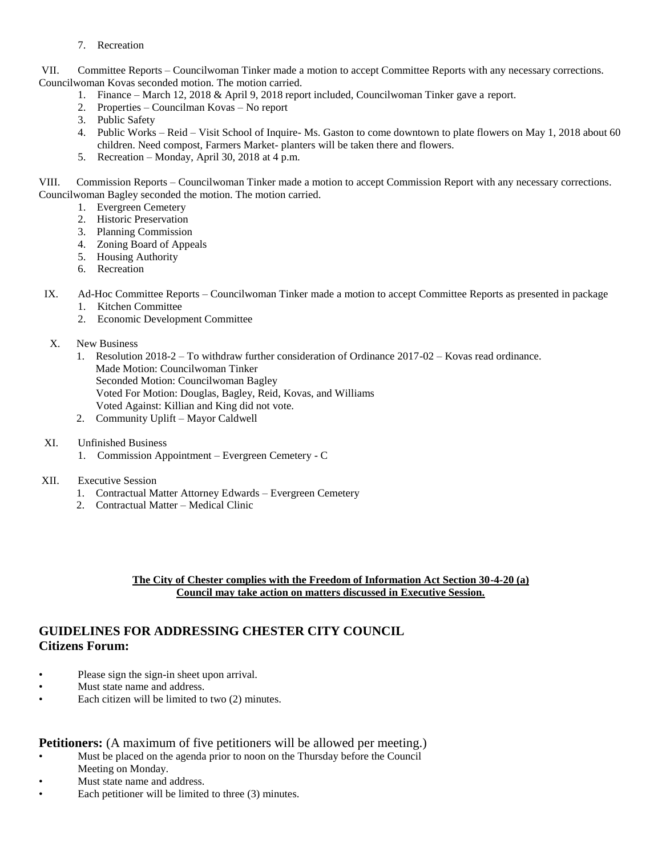7. Recreation

VII. Committee Reports – Councilwoman Tinker made a motion to accept Committee Reports with any necessary corrections. Councilwoman Kovas seconded motion. The motion carried.

- 1. Finance March 12, 2018 & April 9, 2018 report included, Councilwoman Tinker gave a report.
- 2. Properties Councilman Kovas No report
- 3. Public Safety
- 4. Public Works Reid Visit School of Inquire- Ms. Gaston to come downtown to plate flowers on May 1, 2018 about 60 children. Need compost, Farmers Market- planters will be taken there and flowers.
- 5. Recreation Monday, April 30, 2018 at 4 p.m.

VIII. Commission Reports – Councilwoman Tinker made a motion to accept Commission Report with any necessary corrections. Councilwoman Bagley seconded the motion. The motion carried.

- 1. Evergreen Cemetery
- 2. Historic Preservation
- 3. Planning Commission
- 4. Zoning Board of Appeals
- 5. Housing Authority
- 6. Recreation
- IX. Ad-Hoc Committee Reports Councilwoman Tinker made a motion to accept Committee Reports as presented in package
	- 1. Kitchen Committee
	- 2. Economic Development Committee
- X. New Business
	- 1. Resolution 2018-2 To withdraw further consideration of Ordinance 2017-02 Kovas read ordinance. Made Motion: Councilwoman Tinker Seconded Motion: Councilwoman Bagley Voted For Motion: Douglas, Bagley, Reid, Kovas, and Williams Voted Against: Killian and King did not vote.
	- 2. Community Uplift Mayor Caldwell
- XI. Unfinished Business
	- 1. Commission Appointment Evergreen Cemetery C

### XII. Executive Session

- 1. Contractual Matter Attorney Edwards Evergreen Cemetery
- 2. Contractual Matter Medical Clinic

### **The City of Chester complies with the Freedom of Information Act Section 30-4-20 (a) Council may take action on matters discussed in Executive Session.**

## **GUIDELINES FOR ADDRESSING CHESTER CITY COUNCIL Citizens Forum:**

- Please sign the sign-in sheet upon arrival.
- Must state name and address.
- Each citizen will be limited to two (2) minutes.

### **Petitioners:** (A maximum of five petitioners will be allowed per meeting.)

- Must be placed on the agenda prior to noon on the Thursday before the Council Meeting on Monday.
- Must state name and address.
- Each petitioner will be limited to three (3) minutes.